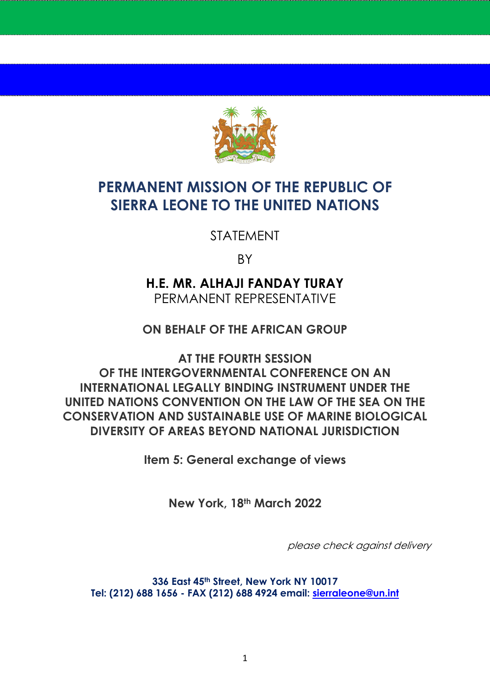

## **PERMANENT MISSION OF THE REPUBLIC OF SIERRA LEONE TO THE UNITED NATIONS**

STATEMENT

BY

**H.E. MR. ALHAJI FANDAY TURAY** PERMANENT REPRESENTATIVE

**ON BEHALF OF THE AFRICAN GROUP**

**AT THE FOURTH SESSION OF THE INTERGOVERNMENTAL CONFERENCE ON AN INTERNATIONAL LEGALLY BINDING INSTRUMENT UNDER THE UNITED NATIONS CONVENTION ON THE LAW OF THE SEA ON THE CONSERVATION AND SUSTAINABLE USE OF MARINE BIOLOGICAL DIVERSITY OF AREAS BEYOND NATIONAL JURISDICTION**

**Item 5: General exchange of views**

**New York, 18th March 2022**

please check against delivery

**336 East 45th Street, New York NY 10017 Tel: (212) 688 1656 - FAX (212) 688 4924 email: [sierraleone@un.int](about:blank)**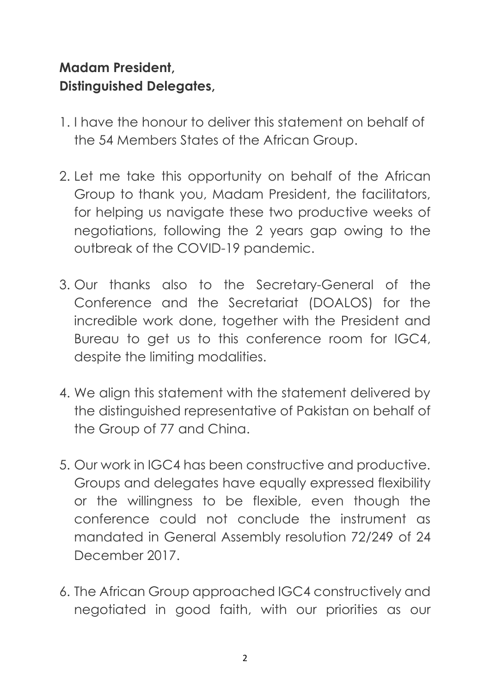## **Madam President, Distinguished Delegates,**

- 1. I have the honour to deliver this statement on behalf of the 54 Members States of the African Group.
- 2. Let me take this opportunity on behalf of the African Group to thank you, Madam President, the facilitators, for helping us navigate these two productive weeks of negotiations, following the 2 years gap owing to the outbreak of the COVID-19 pandemic.
- 3. Our thanks also to the Secretary-General of the Conference and the Secretariat (DOALOS) for the incredible work done, together with the President and Bureau to get us to this conference room for IGC4, despite the limiting modalities.
- 4. We align this statement with the statement delivered by the distinguished representative of Pakistan on behalf of the Group of 77 and China.
- 5. Our work in IGC4 has been constructive and productive. Groups and delegates have equally expressed flexibility or the willingness to be flexible, even though the conference could not conclude the instrument as mandated in General Assembly resolution 72/249 of 24 December 2017.
- 6. The African Group approached IGC4 constructively and negotiated in good faith, with our priorities as our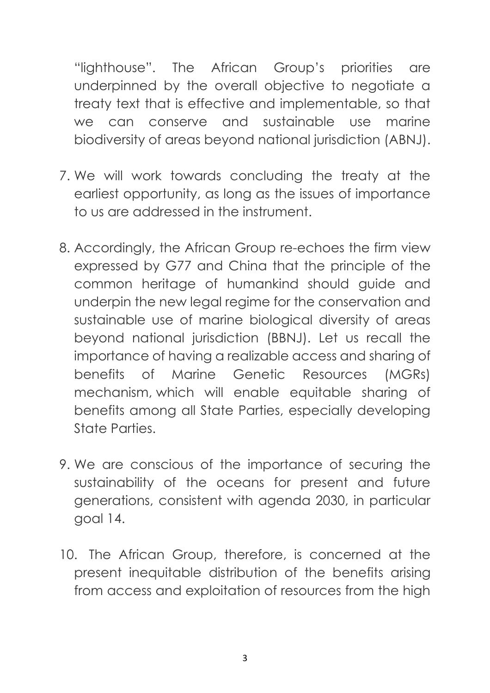"lighthouse". The African Group's priorities are underpinned by the overall objective to negotiate a treaty text that is effective and implementable, so that we can conserve and sustainable use marine biodiversity of areas beyond national jurisdiction (ABNJ).

- 7. We will work towards concluding the treaty at the earliest opportunity, as long as the issues of importance to us are addressed in the instrument.
- 8. Accordingly, the African Group re-echoes the firm view expressed by G77 and China that the principle of the common heritage of humankind should guide and underpin the new legal regime for the conservation and sustainable use of marine biological diversity of areas beyond national jurisdiction (BBNJ). Let us recall the importance of having a realizable access and sharing of benefits of Marine Genetic Resources (MGRs) mechanism, which will enable equitable sharing of benefits among all State Parties, especially developing State Parties.
- 9. We are conscious of the importance of securing the sustainability of the oceans for present and future generations, consistent with agenda 2030, in particular goal 14.
- 10. The African Group, therefore, is concerned at the present inequitable distribution of the benefits arising from access and exploitation of resources from the high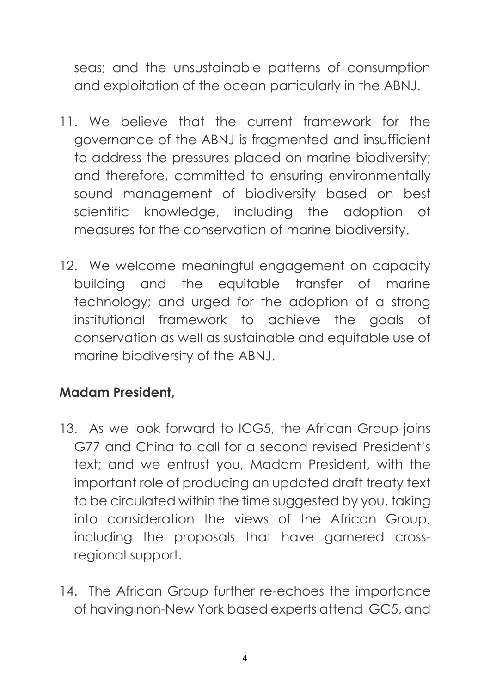seas; and the unsustainable patterns of consumption and exploitation of the ocean particularly in the ABNJ.

- 11. We believe that the current framework for the governance of the ABNJ is fragmented and insufficient to address the pressures placed on marine biodiversity; and therefore, committed to ensuring environmentally sound management of biodiversity based on best scientific knowledge, including the adoption of measures for the conservation of marine biodiversity.
- 12. We welcome meaningful engagement on capacity building and the equitable transfer of marine technology; and urged for the adoption of a strong institutional framework to achieve the goals of conservation as well as sustainable and equitable use of marine biodiversity of the ABNJ.

## **Madam President,**

- 13. As we look forward to ICG5, the African Group joins G77 and China to call for a second revised President's text; and we entrust you, Madam President, with the important role of producing an updated draft treaty text to be circulated within the time suggested by you, taking into consideration the views of the African Group, including the proposals that have garnered crossregional support.
- 14. The African Group further re-echoes the importance of having non-New York based experts attend IGC5, and